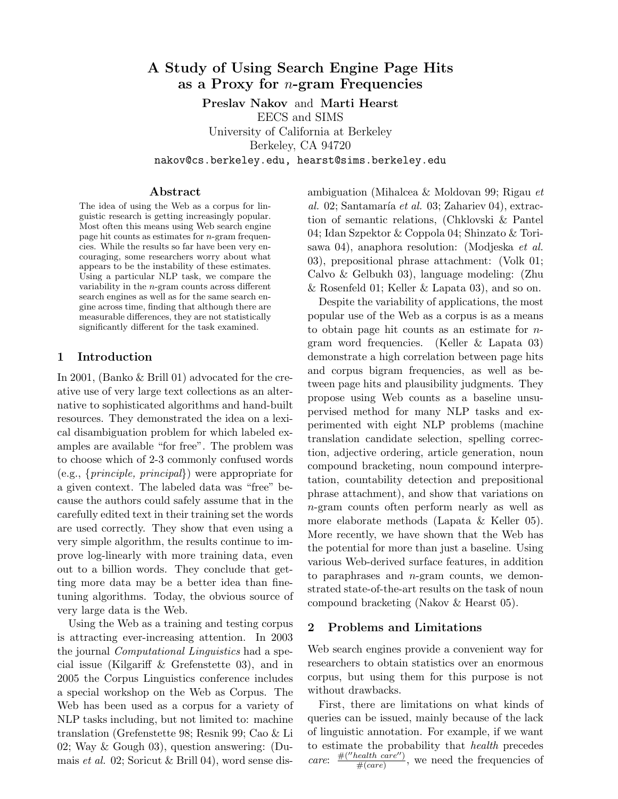# A Study of Using Search Engine Page Hits as a Proxy for  $n$ -gram Frequencies

Preslav Nakov and Marti Hearst EECS and SIMS University of California at Berkeley Berkeley, CA 94720 nakov@cs.berkeley.edu, hearst@sims.berkeley.edu

#### Abstract

The idea of using the Web as a corpus for linguistic research is getting increasingly popular. Most often this means using Web search engine page hit counts as estimates for n-gram frequencies. While the results so far have been very encouraging, some researchers worry about what appears to be the instability of these estimates. Using a particular NLP task, we compare the variability in the n-gram counts across different search engines as well as for the same search engine across time, finding that although there are measurable differences, they are not statistically significantly different for the task examined.

## 1 Introduction

In 2001, (Banko & Brill 01) advocated for the creative use of very large text collections as an alternative to sophisticated algorithms and hand-built resources. They demonstrated the idea on a lexical disambiguation problem for which labeled examples are available "for free". The problem was to choose which of 2-3 commonly confused words (e.g., {principle, principal}) were appropriate for a given context. The labeled data was "free" because the authors could safely assume that in the carefully edited text in their training set the words are used correctly. They show that even using a very simple algorithm, the results continue to improve log-linearly with more training data, even out to a billion words. They conclude that getting more data may be a better idea than finetuning algorithms. Today, the obvious source of very large data is the Web.

Using the Web as a training and testing corpus is attracting ever-increasing attention. In 2003 the journal Computational Linguistics had a special issue (Kilgariff & Grefenstette 03), and in 2005 the Corpus Linguistics conference includes a special workshop on the Web as Corpus. The Web has been used as a corpus for a variety of NLP tasks including, but not limited to: machine translation (Grefenstette 98; Resnik 99; Cao & Li 02; Way & Gough 03), question answering: (Dumais et al. 02; Soricut & Brill 04), word sense disambiguation (Mihalcea & Moldovan 99; Rigau et al. 02; Santamaría et al. 03; Zahariev 04), extraction of semantic relations, (Chklovski & Pantel 04; Idan Szpektor & Coppola 04; Shinzato & Torisawa 04), anaphora resolution: (Modjeska et al. 03), prepositional phrase attachment: (Volk 01; Calvo & Gelbukh 03), language modeling: (Zhu & Rosenfeld 01; Keller & Lapata 03), and so on.

Despite the variability of applications, the most popular use of the Web as a corpus is as a means to obtain page hit counts as an estimate for ngram word frequencies. (Keller & Lapata 03) demonstrate a high correlation between page hits and corpus bigram frequencies, as well as between page hits and plausibility judgments. They propose using Web counts as a baseline unsupervised method for many NLP tasks and experimented with eight NLP problems (machine translation candidate selection, spelling correction, adjective ordering, article generation, noun compound bracketing, noun compound interpretation, countability detection and prepositional phrase attachment), and show that variations on n-gram counts often perform nearly as well as more elaborate methods (Lapata & Keller 05). More recently, we have shown that the Web has the potential for more than just a baseline. Using various Web-derived surface features, in addition to paraphrases and  $n$ -gram counts, we demonstrated state-of-the-art results on the task of noun compound bracketing (Nakov & Hearst 05).

## 2 Problems and Limitations

Web search engines provide a convenient way for researchers to obtain statistics over an enormous corpus, but using them for this purpose is not without drawbacks.

First, there are limitations on what kinds of queries can be issued, mainly because of the lack of linguistic annotation. For example, if we want to estimate the probability that health precedes care:  $#("health \space care")$  $\frac{mean}{\#(care)}$ , we need the frequencies of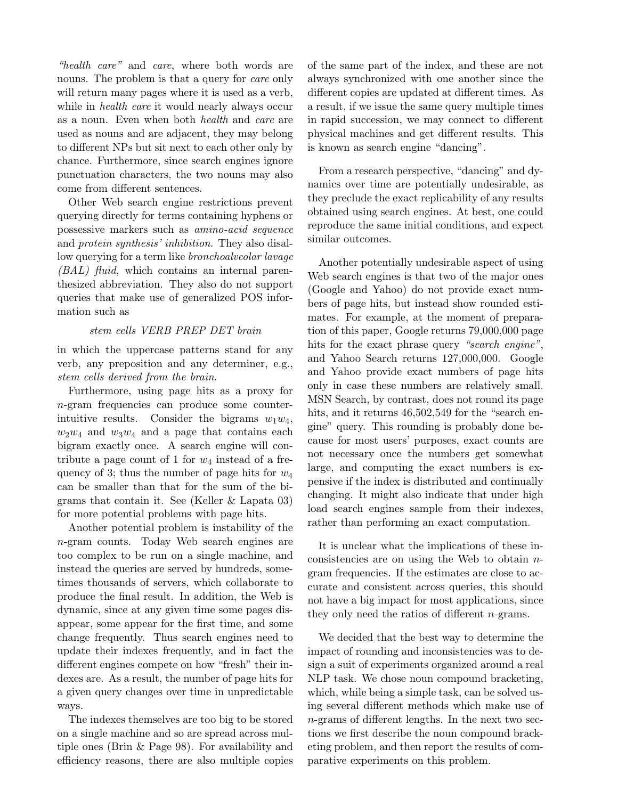"health care" and care, where both words are nouns. The problem is that a query for *care* only will return many pages where it is used as a verb, while in *health care* it would nearly always occur as a noun. Even when both health and care are used as nouns and are adjacent, they may belong to different NPs but sit next to each other only by chance. Furthermore, since search engines ignore punctuation characters, the two nouns may also come from different sentences.

Other Web search engine restrictions prevent querying directly for terms containing hyphens or possessive markers such as amino-acid sequence and protein synthesis' inhibition. They also disallow querying for a term like bronchoalveolar lavage (BAL) fluid, which contains an internal parenthesized abbreviation. They also do not support queries that make use of generalized POS information such as

## stem cells VERB PREP DET brain

in which the uppercase patterns stand for any verb, any preposition and any determiner, e.g., stem cells derived from the brain.

Furthermore, using page hits as a proxy for n-gram frequencies can produce some counterintuitive results. Consider the bigrams  $w_1w_4$ ,  $w_2w_4$  and  $w_3w_4$  and a page that contains each bigram exactly once. A search engine will contribute a page count of 1 for  $w_4$  instead of a frequency of 3; thus the number of page hits for  $w_4$ can be smaller than that for the sum of the bigrams that contain it. See (Keller & Lapata 03) for more potential problems with page hits.

Another potential problem is instability of the n-gram counts. Today Web search engines are too complex to be run on a single machine, and instead the queries are served by hundreds, sometimes thousands of servers, which collaborate to produce the final result. In addition, the Web is dynamic, since at any given time some pages disappear, some appear for the first time, and some change frequently. Thus search engines need to update their indexes frequently, and in fact the different engines compete on how "fresh" their indexes are. As a result, the number of page hits for a given query changes over time in unpredictable ways.

The indexes themselves are too big to be stored on a single machine and so are spread across multiple ones (Brin & Page 98). For availability and efficiency reasons, there are also multiple copies of the same part of the index, and these are not always synchronized with one another since the different copies are updated at different times. As a result, if we issue the same query multiple times in rapid succession, we may connect to different physical machines and get different results. This is known as search engine "dancing".

From a research perspective, "dancing" and dynamics over time are potentially undesirable, as they preclude the exact replicability of any results obtained using search engines. At best, one could reproduce the same initial conditions, and expect similar outcomes.

Another potentially undesirable aspect of using Web search engines is that two of the major ones (Google and Yahoo) do not provide exact numbers of page hits, but instead show rounded estimates. For example, at the moment of preparation of this paper, Google returns 79,000,000 page hits for the exact phrase query "search engine", and Yahoo Search returns 127,000,000. Google and Yahoo provide exact numbers of page hits only in case these numbers are relatively small. MSN Search, by contrast, does not round its page hits, and it returns  $46,502,549$  for the "search engine" query. This rounding is probably done because for most users' purposes, exact counts are not necessary once the numbers get somewhat large, and computing the exact numbers is expensive if the index is distributed and continually changing. It might also indicate that under high load search engines sample from their indexes, rather than performing an exact computation.

It is unclear what the implications of these inconsistencies are on using the Web to obtain  $n$ gram frequencies. If the estimates are close to accurate and consistent across queries, this should not have a big impact for most applications, since they only need the ratios of different n-grams.

We decided that the best way to determine the impact of rounding and inconsistencies was to design a suit of experiments organized around a real NLP task. We chose noun compound bracketing, which, while being a simple task, can be solved using several different methods which make use of n-grams of different lengths. In the next two sections we first describe the noun compound bracketing problem, and then report the results of comparative experiments on this problem.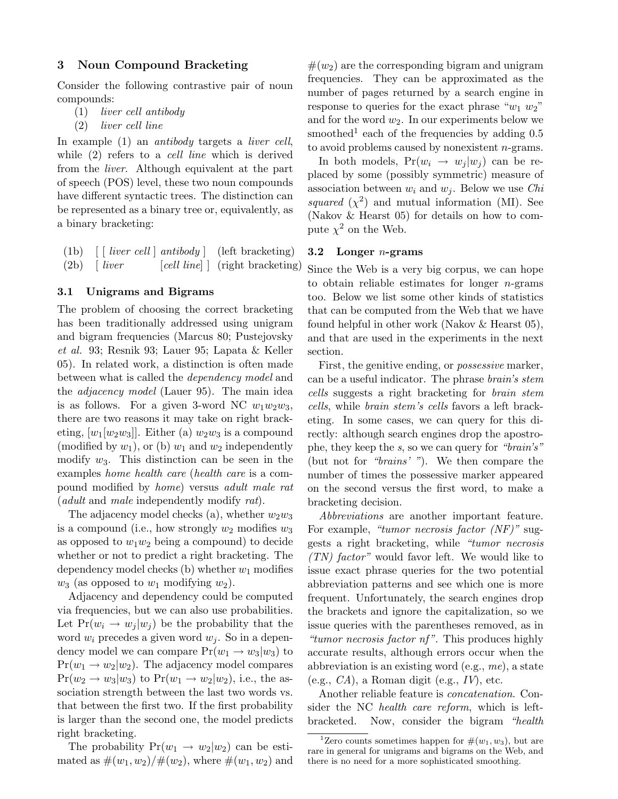## 3 Noun Compound Bracketing

Consider the following contrastive pair of noun compounds:

- (1) liver cell antibody
- (2) liver cell line

In example (1) an *antibody* targets a *liver cell*, while  $(2)$  refers to a *cell line* which is derived from the liver. Although equivalent at the part of speech (POS) level, these two noun compounds have different syntactic trees. The distinction can be represented as a binary tree or, equivalently, as a binary bracketing:

(1b)  $\left[ \begin{array}{cc} \text{live} \end{array} \right]$  antibody  $\left[ \begin{array}{cc} \text{left} \end{array} \right]$  $(2b)$  [ liver [cell line] ] (right bracketing)

### 3.1 Unigrams and Bigrams

The problem of choosing the correct bracketing has been traditionally addressed using unigram and bigram frequencies (Marcus 80; Pustejovsky et al. 93; Resnik 93; Lauer 95; Lapata & Keller 05). In related work, a distinction is often made between what is called the dependency model and the adjacency model (Lauer 95). The main idea is as follows. For a given 3-word NC  $w_1w_2w_3$ , there are two reasons it may take on right bracketing,  $[w_1[w_2w_3]]$ . Either (a)  $w_2w_3$  is a compound (modified by  $w_1$ ), or (b)  $w_1$  and  $w_2$  independently modify  $w_3$ . This distinction can be seen in the examples home health care (health care is a compound modified by home) versus adult male rat (*adult* and *male* independently modify rat).

The adjacency model checks (a), whether  $w_2w_3$ is a compound (i.e., how strongly  $w_2$  modifies  $w_3$ as opposed to  $w_1w_2$  being a compound) to decide whether or not to predict a right bracketing. The dependency model checks (b) whether  $w_1$  modifies  $w_3$  (as opposed to  $w_1$  modifying  $w_2$ ).

Adjacency and dependency could be computed via frequencies, but we can also use probabilities. Let  $Pr(w_i \rightarrow w_j | w_j)$  be the probability that the word  $w_i$  precedes a given word  $w_i$ . So in a dependency model we can compare  $Pr(w_1 \rightarrow w_3|w_3)$  to  $Pr(w_1 \rightarrow w_2|w_2)$ . The adjacency model compares  $Pr(w_2 \rightarrow w_3|w_3)$  to  $Pr(w_1 \rightarrow w_2|w_2)$ , i.e., the association strength between the last two words vs. that between the first two. If the first probability is larger than the second one, the model predicts right bracketing.

The probability  $Pr(w_1 \rightarrow w_2 | w_2)$  can be estimated as  $\#(w_1, w_2)/\#(w_2)$ , where  $\#(w_1, w_2)$  and

 $#(w_2)$  are the corresponding bigram and unigram frequencies. They can be approximated as the number of pages returned by a search engine in response to queries for the exact phrase " $w_1$   $w_2$ " and for the word  $w_2$ . In our experiments below we smoothed<sup>1</sup> each of the frequencies by adding  $0.5$ to avoid problems caused by nonexistent n-grams.

In both models,  $Pr(w_i \rightarrow w_i | w_i)$  can be replaced by some (possibly symmetric) measure of association between  $w_i$  and  $w_j$ . Below we use *Chi* squared  $(\chi^2)$  and mutual information (MI). See (Nakov & Hearst 05) for details on how to compute  $\chi^2$  on the Web.

### 3.2 Longer  $n$ -grams

Since the Web is a very big corpus, we can hope to obtain reliable estimates for longer  $n$ -grams too. Below we list some other kinds of statistics that can be computed from the Web that we have found helpful in other work (Nakov & Hearst 05), and that are used in the experiments in the next section.

First, the genitive ending, or *possessive* marker, can be a useful indicator. The phrase brain's stem cells suggests a right bracketing for brain stem cells, while brain stem's cells favors a left bracketing. In some cases, we can query for this directly: although search engines drop the apostrophe, they keep the s, so we can query for "brain's" (but not for "brains' "). We then compare the number of times the possessive marker appeared on the second versus the first word, to make a bracketing decision.

Abbreviations are another important feature. For example, "tumor necrosis factor (NF)" suggests a right bracketing, while "tumor necrosis  $(TN)$  factor" would favor left. We would like to issue exact phrase queries for the two potential abbreviation patterns and see which one is more frequent. Unfortunately, the search engines drop the brackets and ignore the capitalization, so we issue queries with the parentheses removed, as in "tumor necrosis factor nf". This produces highly accurate results, although errors occur when the abbreviation is an existing word (e.g., me), a state  $(e.g., CA)$ , a Roman digit  $(e.g., IV)$ , etc.

Another reliable feature is concatenation. Consider the NC health care reform, which is leftbracketed. Now, consider the bigram "health

<sup>&</sup>lt;sup>1</sup>Zero counts sometimes happen for  $\#(w_1, w_3)$ , but are rare in general for unigrams and bigrams on the Web, and there is no need for a more sophisticated smoothing.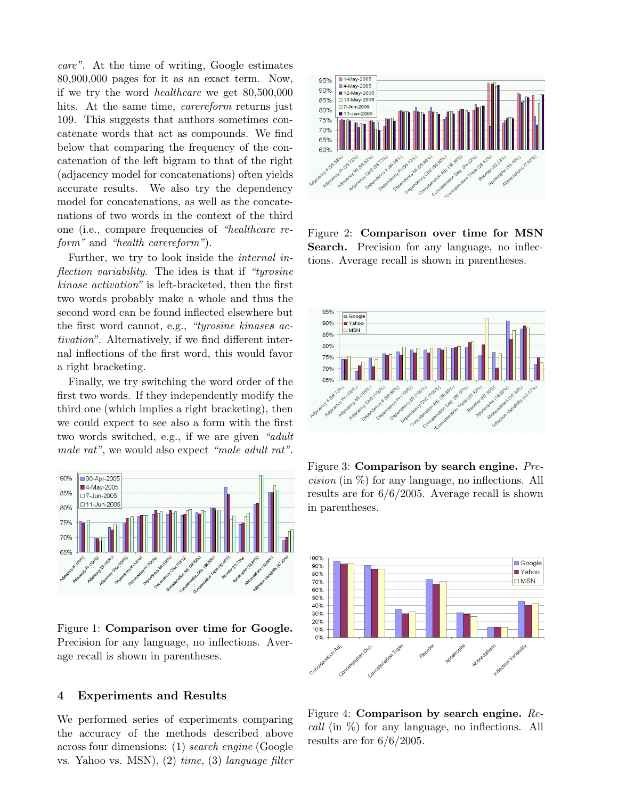care". At the time of writing, Google estimates 80,900,000 pages for it as an exact term. Now, if we try the word healthcare we get 80,500,000 hits. At the same time, *carereform* returns just 109. This suggests that authors sometimes concatenate words that act as compounds. We find below that comparing the frequency of the concatenation of the left bigram to that of the right (adjacency model for concatenations) often yields accurate results. We also try the dependency model for concatenations, as well as the concatenations of two words in the context of the third one (i.e., compare frequencies of "healthcare reform" and "health carereform").

Further, we try to look inside the internal inflection variability. The idea is that if "tyrosine kinase activation" is left-bracketed, then the first two words probably make a whole and thus the second word can be found inflected elsewhere but the first word cannot, e.g., "tyrosine kinases activation". Alternatively, if we find different internal inflections of the first word, this would favor a right bracketing.

Finally, we try switching the word order of the first two words. If they independently modify the third one (which implies a right bracketing), then we could expect to see also a form with the first two words switched, e.g., if we are given "adult male rat", we would also expect "male adult rat".



Figure 1: Comparison over time for Google. Precision for any language, no inflections. Average recall is shown in parentheses.

## 4 Experiments and Results

We performed series of experiments comparing the accuracy of the methods described above across four dimensions: (1) search engine (Google vs. Yahoo vs. MSN), (2) time, (3) language filter



Figure 2: Comparison over time for MSN Search. Precision for any language, no inflections. Average recall is shown in parentheses.



Figure 3: Comparison by search engine. Pre*cision* (in  $\%$ ) for any language, no inflections. All results are for 6/6/2005. Average recall is shown in parentheses.



Figure 4: Comparison by search engine. Recall (in %) for any language, no inflections. All results are for  $6/6/2005$ .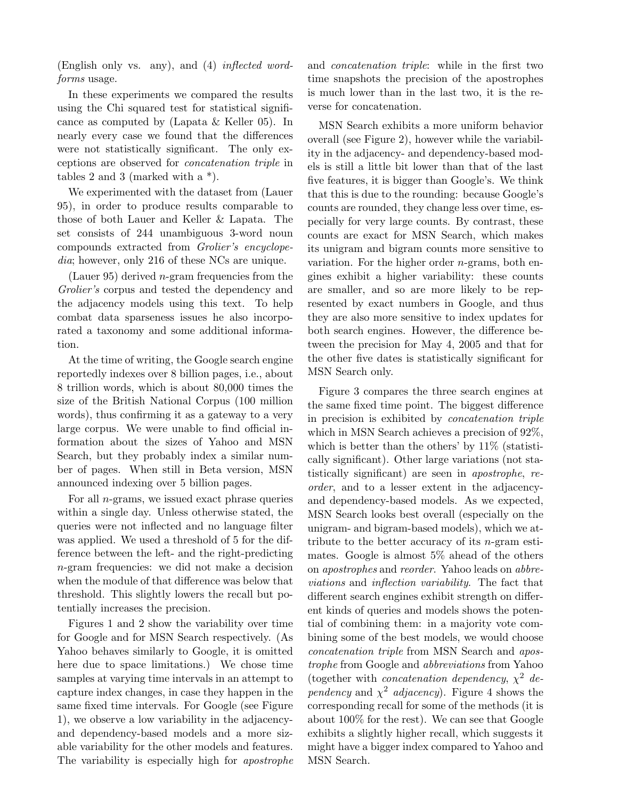(English only vs. any), and (4) inflected wordforms usage.

In these experiments we compared the results using the Chi squared test for statistical significance as computed by (Lapata & Keller 05). In nearly every case we found that the differences were not statistically significant. The only exceptions are observed for concatenation triple in tables 2 and 3 (marked with a \*).

We experimented with the dataset from (Lauer 95), in order to produce results comparable to those of both Lauer and Keller & Lapata. The set consists of 244 unambiguous 3-word noun compounds extracted from Grolier's encyclopedia; however, only 216 of these NCs are unique.

(Lauer 95) derived *n*-gram frequencies from the Grolier's corpus and tested the dependency and the adjacency models using this text. To help combat data sparseness issues he also incorporated a taxonomy and some additional information.

At the time of writing, the Google search engine reportedly indexes over 8 billion pages, i.e., about 8 trillion words, which is about 80,000 times the size of the British National Corpus (100 million words), thus confirming it as a gateway to a very large corpus. We were unable to find official information about the sizes of Yahoo and MSN Search, but they probably index a similar number of pages. When still in Beta version, MSN announced indexing over 5 billion pages.

For all  $n$ -grams, we issued exact phrase queries within a single day. Unless otherwise stated, the queries were not inflected and no language filter was applied. We used a threshold of 5 for the difference between the left- and the right-predicting n-gram frequencies: we did not make a decision when the module of that difference was below that threshold. This slightly lowers the recall but potentially increases the precision.

Figures 1 and 2 show the variability over time for Google and for MSN Search respectively. (As Yahoo behaves similarly to Google, it is omitted here due to space limitations.) We chose time samples at varying time intervals in an attempt to capture index changes, in case they happen in the same fixed time intervals. For Google (see Figure 1), we observe a low variability in the adjacencyand dependency-based models and a more sizable variability for the other models and features. The variability is especially high for apostrophe

and concatenation triple: while in the first two time snapshots the precision of the apostrophes is much lower than in the last two, it is the reverse for concatenation.

MSN Search exhibits a more uniform behavior overall (see Figure 2), however while the variability in the adjacency- and dependency-based models is still a little bit lower than that of the last five features, it is bigger than Google's. We think that this is due to the rounding: because Google's counts are rounded, they change less over time, especially for very large counts. By contrast, these counts are exact for MSN Search, which makes its unigram and bigram counts more sensitive to variation. For the higher order  $n$ -grams, both engines exhibit a higher variability: these counts are smaller, and so are more likely to be represented by exact numbers in Google, and thus they are also more sensitive to index updates for both search engines. However, the difference between the precision for May 4, 2005 and that for the other five dates is statistically significant for MSN Search only.

Figure 3 compares the three search engines at the same fixed time point. The biggest difference in precision is exhibited by concatenation triple which in MSN Search achieves a precision of 92%, which is better than the others' by  $11\%$  (statistically significant). Other large variations (not statistically significant) are seen in apostrophe, reorder, and to a lesser extent in the adjacencyand dependency-based models. As we expected, MSN Search looks best overall (especially on the unigram- and bigram-based models), which we attribute to the better accuracy of its  $n$ -gram estimates. Google is almost 5% ahead of the others on apostrophes and reorder. Yahoo leads on abbreviations and inflection variability. The fact that different search engines exhibit strength on different kinds of queries and models shows the potential of combining them: in a majority vote combining some of the best models, we would choose concatenation triple from MSN Search and apostrophe from Google and abbreviations from Yahoo (together with *concatenation dependency*,  $\chi^2$  dependency and  $\chi^2$  adjacency). Figure 4 shows the corresponding recall for some of the methods (it is about 100% for the rest). We can see that Google exhibits a slightly higher recall, which suggests it might have a bigger index compared to Yahoo and MSN Search.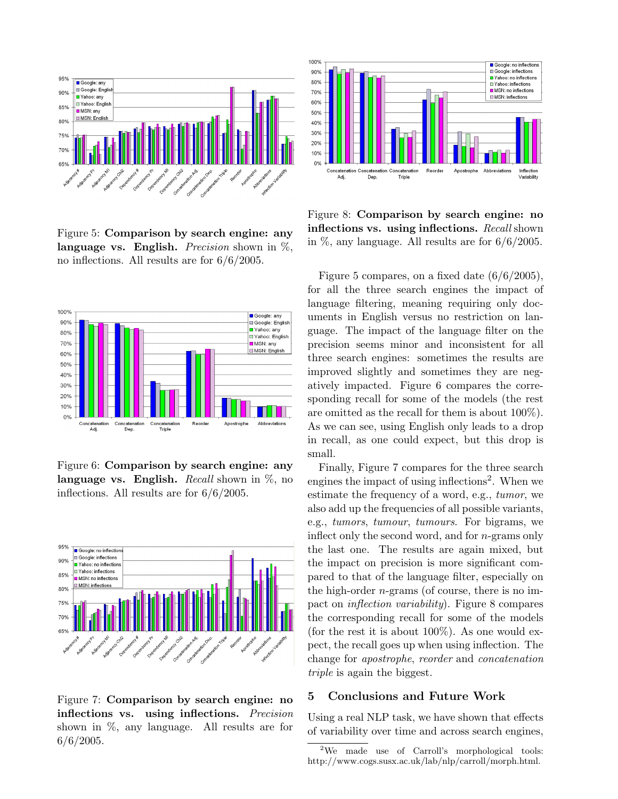

Figure 5: Comparison by search engine: any language vs. English. *Precision* shown in  $\%$ , no inflections. All results are for 6/6/2005.



Figure 6: Comparison by search engine: any language vs. English. Recall shown in  $\%$ , no inflections. All results are for 6/6/2005.



Figure 7: Comparison by search engine: no inflections vs. using inflections. Precision shown in %, any language. All results are for  $6/6/2005$ .



Figure 8: Comparison by search engine: no inflections vs. using inflections. Recall shown in  $\%$ , any language. All results are for  $6/6/2005$ .

Figure 5 compares, on a fixed date (6/6/2005), for all the three search engines the impact of language filtering, meaning requiring only documents in English versus no restriction on language. The impact of the language filter on the precision seems minor and inconsistent for all three search engines: sometimes the results are improved slightly and sometimes they are negatively impacted. Figure 6 compares the corresponding recall for some of the models (the rest are omitted as the recall for them is about 100%). As we can see, using English only leads to a drop in recall, as one could expect, but this drop is small.

Finally, Figure 7 compares for the three search engines the impact of using inflections<sup>2</sup>. When we estimate the frequency of a word, e.g., tumor, we also add up the frequencies of all possible variants, e.g., tumors, tumour, tumours. For bigrams, we inflect only the second word, and for n-grams only the last one. The results are again mixed, but the impact on precision is more significant compared to that of the language filter, especially on the high-order  $n$ -grams (of course, there is no impact on inflection variability). Figure 8 compares the corresponding recall for some of the models (for the rest it is about  $100\%$ ). As one would expect, the recall goes up when using inflection. The change for apostrophe, reorder and concatenation triple is again the biggest.

## 5 Conclusions and Future Work

Using a real NLP task, we have shown that effects of variability over time and across search engines,

<sup>2</sup>We made use of Carroll's morphological tools: http://www.cogs.susx.ac.uk/lab/nlp/carroll/morph.html.